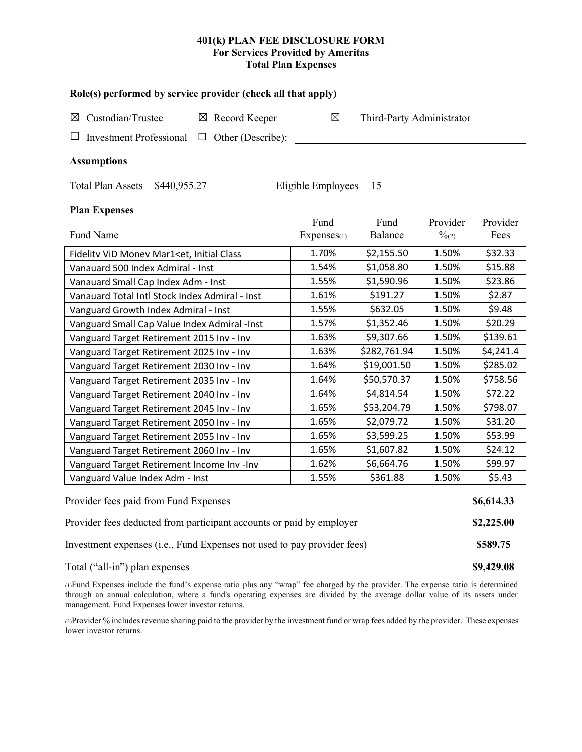# 401(k) PLAN FEE DISCLOSURE FORM For Services Provided by Ameritas **Total Plan Expenses**

| Role(s) performed by service provider (check all that apply)                                                                  |             |                           |                   |           |  |  |  |  |  |
|-------------------------------------------------------------------------------------------------------------------------------|-------------|---------------------------|-------------------|-----------|--|--|--|--|--|
| Custodian/Trustee<br>$\boxtimes$ Record Keeper<br>$\boxtimes$                                                                 | $\boxtimes$ | Third-Party Administrator |                   |           |  |  |  |  |  |
| <b>Investment Professional</b><br>$\Box$ Other (Describe):                                                                    |             |                           |                   |           |  |  |  |  |  |
| <b>Assumptions</b>                                                                                                            |             |                           |                   |           |  |  |  |  |  |
| Total Plan Assets \$440,955.27<br>Eligible Employees<br>15                                                                    |             |                           |                   |           |  |  |  |  |  |
| <b>Plan Expenses</b>                                                                                                          |             |                           |                   |           |  |  |  |  |  |
|                                                                                                                               | Fund        | Fund                      | Provider          | Provider  |  |  |  |  |  |
| Fund Name                                                                                                                     | Expenses(1) | Balance                   | $\frac{0}{2}$ (2) | Fees      |  |  |  |  |  |
| Fidelitv ViD Monev Mar1 <et, class<="" initial="" td=""><td>1.70%</td><td>\$2,155.50</td><td>1.50%</td><td>\$32.33</td></et,> | 1.70%       | \$2,155.50                | 1.50%             | \$32.33   |  |  |  |  |  |
| Vanauard 500 Index Admiral - Inst                                                                                             | 1.54%       | \$1,058.80                | 1.50%             | \$15.88   |  |  |  |  |  |
| Vanauard Small Cap Index Adm - Inst                                                                                           | 1.55%       | \$1,590.96                | 1.50%             | \$23.86   |  |  |  |  |  |
| Vanauard Total Intl Stock Index Admiral - Inst                                                                                | 1.61%       | \$191.27                  | 1.50%             | \$2.87    |  |  |  |  |  |
| Vanguard Growth Index Admiral - Inst                                                                                          | 1.55%       | \$632.05                  | 1.50%             | \$9.48    |  |  |  |  |  |
| Vanguard Small Cap Value Index Admiral -Inst                                                                                  | 1.57%       | \$1,352.46                | 1.50%             | \$20.29   |  |  |  |  |  |
| Vanguard Target Retirement 2015 Inv - Inv                                                                                     | 1.63%       | \$9,307.66                | 1.50%             | \$139.61  |  |  |  |  |  |
| Vanguard Target Retirement 2025 Inv - Inv                                                                                     | 1.63%       | \$282,761.94              | 1.50%             | \$4,241.4 |  |  |  |  |  |
| Vanguard Target Retirement 2030 Inv - Inv                                                                                     | 1.64%       | \$19,001.50               | 1.50%             | \$285.02  |  |  |  |  |  |
| Vanguard Target Retirement 2035 Inv - Inv                                                                                     | 1.64%       | \$50,570.37               | 1.50%             | \$758.56  |  |  |  |  |  |
| Vanguard Target Retirement 2040 Inv - Inv                                                                                     | 1.64%       | \$4,814.54                | 1.50%             | \$72.22   |  |  |  |  |  |
| Vanguard Target Retirement 2045 Inv - Inv                                                                                     | 1.65%       | \$53,204.79               | 1.50%             | \$798.07  |  |  |  |  |  |
| Vanguard Target Retirement 2050 Inv - Inv                                                                                     | 1.65%       | \$2,079.72                | 1.50%             | \$31.20   |  |  |  |  |  |
| Vanguard Target Retirement 2055 Inv - Inv                                                                                     | 1.65%       | \$3,599.25                | 1.50%             | \$53.99   |  |  |  |  |  |
| Vanguard Target Retirement 2060 Inv - Inv                                                                                     | 1.65%       | \$1,607.82                | 1.50%             | \$24.12   |  |  |  |  |  |
| Vanguard Target Retirement Income Inv -Inv                                                                                    | 1.62%       | \$6,664.76                | 1.50%             | \$99.97   |  |  |  |  |  |
| Vanguard Value Index Adm - Inst                                                                                               | 1.55%       | \$361.88                  | 1.50%             | \$5.43    |  |  |  |  |  |
| Provider fees paid from Fund Expenses                                                                                         |             |                           |                   |           |  |  |  |  |  |
| Provider fees deducted from participant accounts or paid by employer                                                          |             |                           |                   |           |  |  |  |  |  |
| Investment expenses (i.e., Fund Expenses not used to pay provider fees)                                                       |             |                           |                   |           |  |  |  |  |  |
| Total ("all-in") plan expenses                                                                                                |             |                           |                   |           |  |  |  |  |  |

(1) Fund Expenses include the fund's expense ratio plus any "wrap" fee charged by the provider. The expense ratio is determined through an annual calculation, where a fund's operating expenses are divided by the average dollar value of its assets under management. Fund Expenses lower investor returns.

(2) Provider % includes revenue sharing paid to the provider by the investment fund or wrap fees added by the provider. These expenses lower investor returns.